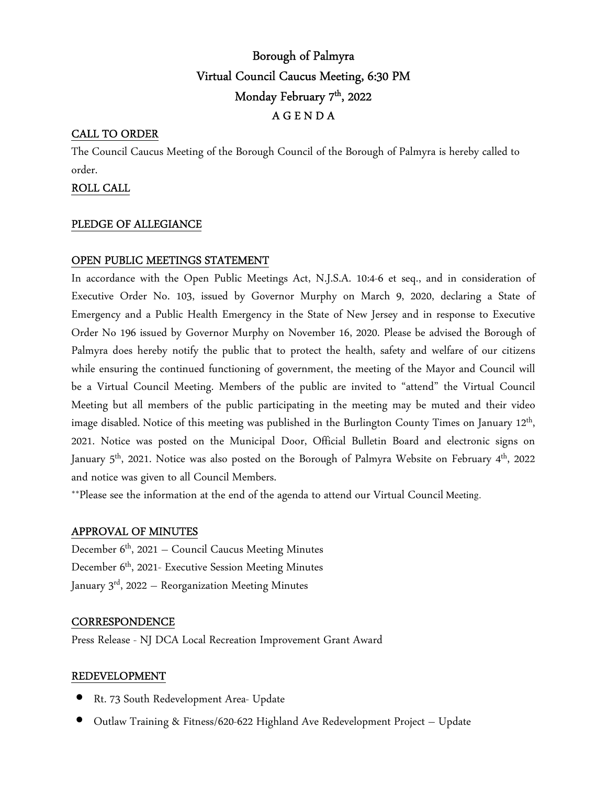# Borough of Palmyra Virtual Council Caucus Meeting, 6:30 PM Monday February 7 th, 2022 A G E N D A

# CALL TO ORDER

The Council Caucus Meeting of the Borough Council of the Borough of Palmyra is hereby called to order.

# ROLL CALL

# PLEDGE OF ALLEGIANCE

# OPEN PUBLIC MEETINGS STATEMENT

In accordance with the Open Public Meetings Act, N.J.S.A. 10:4-6 et seq., and in consideration of Executive Order No. 103, issued by Governor Murphy on March 9, 2020, declaring a State of Emergency and a Public Health Emergency in the State of New Jersey and in response to Executive Order No 196 issued by Governor Murphy on November 16, 2020. Please be advised the Borough of Palmyra does hereby notify the public that to protect the health, safety and welfare of our citizens while ensuring the continued functioning of government, the meeting of the Mayor and Council will be a Virtual Council Meeting. Members of the public are invited to "attend" the Virtual Council Meeting but all members of the public participating in the meeting may be muted and their video image disabled. Notice of this meeting was published in the Burlington County Times on January 12<sup>th</sup>, 2021. Notice was posted on the Municipal Door, Official Bulletin Board and electronic signs on January  $5<sup>th</sup>$ , 2021. Notice was also posted on the Borough of Palmyra Website on February 4<sup>th</sup>, 2022 and notice was given to all Council Members.

\*\*Please see the information at the end of the agenda to attend our Virtual Council Meeting.

# APPROVAL OF MINUTES

December  $6<sup>th</sup>$ , 2021 – Council Caucus Meeting Minutes December 6<sup>th</sup>, 2021- Executive Session Meeting Minutes January  $3<sup>rd</sup>$ , 2022 – Reorganization Meeting Minutes

# **CORRESPONDENCE**

Press Release - NJ DCA Local Recreation Improvement Grant Award

### REDEVELOPMENT

- Rt. 73 South Redevelopment Area- Update
- Outlaw Training & Fitness/620-622 Highland Ave Redevelopment Project Update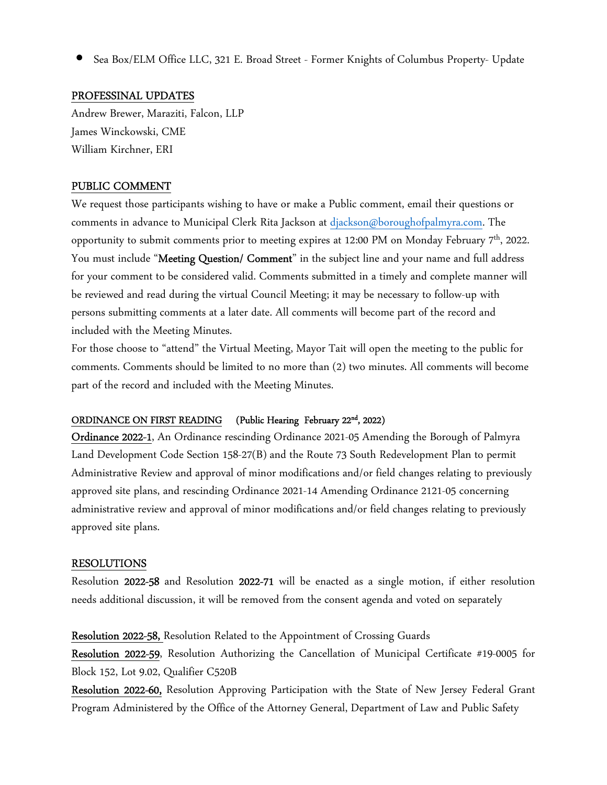• Sea Box/ELM Office LLC, 321 E. Broad Street - Former Knights of Columbus Property- Update

# PROFESSINAL UPDATES

Andrew Brewer, Maraziti, Falcon, LLP James Winckowski, CME William Kirchner, ERI

# PUBLIC COMMENT

We request those participants wishing to have or make a Public comment, email their questions or comments in advance to Municipal Clerk Rita Jackson at djackson@boroughofpalmyra.com. The opportunity to submit comments prior to meeting expires at 12:00 PM on Monday February  $7<sup>th</sup>$ , 2022. You must include "**Meeting Question/ Comment**" in the subject line and your name and full address for your comment to be considered valid. Comments submitted in a timely and complete manner will be reviewed and read during the virtual Council Meeting; it may be necessary to follow-up with persons submitting comments at a later date. All comments will become part of the record and included with the Meeting Minutes.

For those choose to "attend" the Virtual Meeting, Mayor Tait will open the meeting to the public for comments. Comments should be limited to no more than (2) two minutes. All comments will become part of the record and included with the Meeting Minutes.

#### ORDINANCE ON FIRST READING (Public Hearing February 22<sup>nd</sup>, 2022)

Ordinance 2022-1, An Ordinance rescinding Ordinance 2021-05 Amending the Borough of Palmyra Land Development Code Section 158-27(B) and the Route 73 South Redevelopment Plan to permit Administrative Review and approval of minor modifications and/or field changes relating to previously approved site plans, and rescinding Ordinance 2021-14 Amending Ordinance 2121-05 concerning administrative review and approval of minor modifications and/or field changes relating to previously approved site plans.

# RESOLUTIONS

Resolution 2022-58 and Resolution 2022-71 will be enacted as a single motion, if either resolution needs additional discussion, it will be removed from the consent agenda and voted on separately

Resolution 2022-58, Resolution Related to the Appointment of Crossing Guards

Resolution 2022-59, Resolution Authorizing the Cancellation of Municipal Certificate #19-0005 for Block 152, Lot 9.02, Qualifier C520B

Resolution 2022-60, Resolution Approving Participation with the State of New Jersey Federal Grant Program Administered by the Office of the Attorney General, Department of Law and Public Safety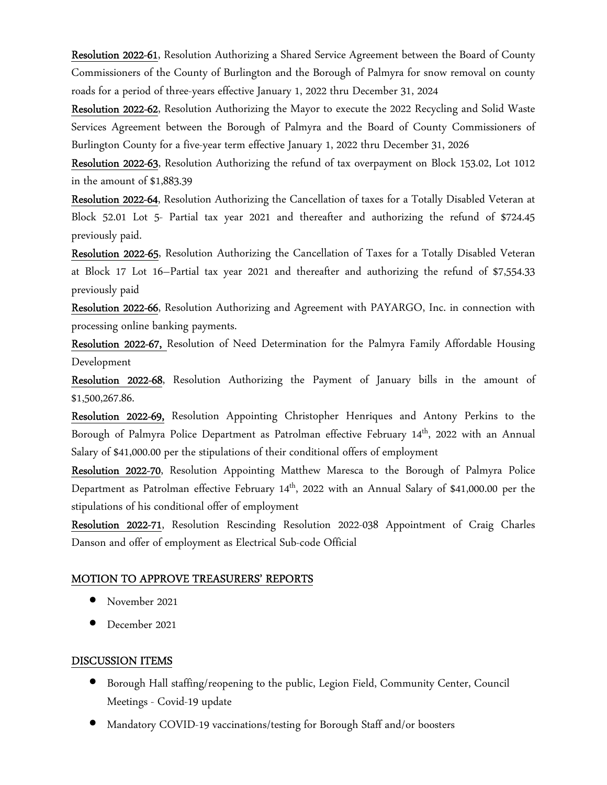Resolution 2022-61, Resolution Authorizing a Shared Service Agreement between the Board of County Commissioners of the County of Burlington and the Borough of Palmyra for snow removal on county roads for a period of three-years effective January 1, 2022 thru December 31, 2024

Resolution 2022-62, Resolution Authorizing the Mayor to execute the 2022 Recycling and Solid Waste Services Agreement between the Borough of Palmyra and the Board of County Commissioners of Burlington County for a five-year term effective January 1, 2022 thru December 31, 2026

Resolution 2022-63, Resolution Authorizing the refund of tax overpayment on Block 153.02, Lot 1012 in the amount of \$1,883.39

Resolution 2022-64, Resolution Authorizing the Cancellation of taxes for a Totally Disabled Veteran at Block 52.01 Lot 5- Partial tax year 2021 and thereafter and authorizing the refund of \$724.45 previously paid.

Resolution 2022-65, Resolution Authorizing the Cancellation of Taxes for a Totally Disabled Veteran at Block 17 Lot 16–Partial tax year 2021 and thereafter and authorizing the refund of \$7,554.33 previously paid

Resolution 2022-66, Resolution Authorizing and Agreement with PAYARGO, Inc. in connection with processing online banking payments.

Resolution 2022-67, Resolution of Need Determination for the Palmyra Family Affordable Housing Development

Resolution 2022-68, Resolution Authorizing the Payment of January bills in the amount of \$1,500,267.86.

Resolution 2022-69, Resolution Appointing Christopher Henriques and Antony Perkins to the Borough of Palmyra Police Department as Patrolman effective February 14<sup>th</sup>, 2022 with an Annual Salary of \$41,000.00 per the stipulations of their conditional offers of employment

Resolution 2022-70, Resolution Appointing Matthew Maresca to the Borough of Palmyra Police Department as Patrolman effective February 14<sup>th</sup>, 2022 with an Annual Salary of \$41,000.00 per the stipulations of his conditional offer of employment

Resolution 2022-71, Resolution Rescinding Resolution 2022-038 Appointment of Craig Charles Danson and offer of employment as Electrical Sub-code Official

# MOTION TO APPROVE TREASURERS' REPORTS

- November 2021
- December 2021

# DISCUSSION ITEMS

- Borough Hall staffing/reopening to the public, Legion Field, Community Center, Council Meetings - Covid-19 update
- Mandatory COVID-19 vaccinations/testing for Borough Staff and/or boosters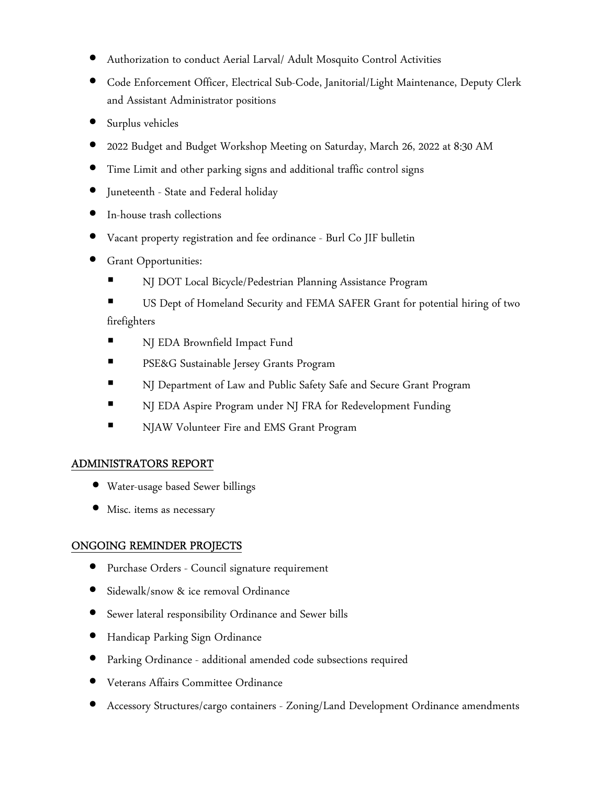- Authorization to conduct Aerial Larval/ Adult Mosquito Control Activities
- Code Enforcement Officer, Electrical Sub-Code, Janitorial/Light Maintenance, Deputy Clerk and Assistant Administrator positions
- Surplus vehicles
- 2022 Budget and Budget Workshop Meeting on Saturday, March 26, 2022 at 8:30 AM
- Time Limit and other parking signs and additional traffic control signs
- Juneteenth State and Federal holiday
- In-house trash collections
- Vacant property registration and fee ordinance Burl Co JIF bulletin
- Grant Opportunities:
	- NJ DOT Local Bicycle/Pedestrian Planning Assistance Program
	- US Dept of Homeland Security and FEMA SAFER Grant for potential hiring of two firefighters
	- NJ EDA Brownfield Impact Fund
	- PSE&G Sustainable Jersey Grants Program
	- NJ Department of Law and Public Safety Safe and Secure Grant Program
	- NJ EDA Aspire Program under NJ FRA for Redevelopment Funding
	- **NJAW Volunteer Fire and EMS Grant Program**

# ADMINISTRATORS REPORT

- Water-usage based Sewer billings
- Misc. items as necessary

# ONGOING REMINDER PROJECTS

- Purchase Orders Council signature requirement
- Sidewalk/snow & ice removal Ordinance
- Sewer lateral responsibility Ordinance and Sewer bills
- Handicap Parking Sign Ordinance
- Parking Ordinance additional amended code subsections required
- Veterans Affairs Committee Ordinance
- Accessory Structures/cargo containers Zoning/Land Development Ordinance amendments